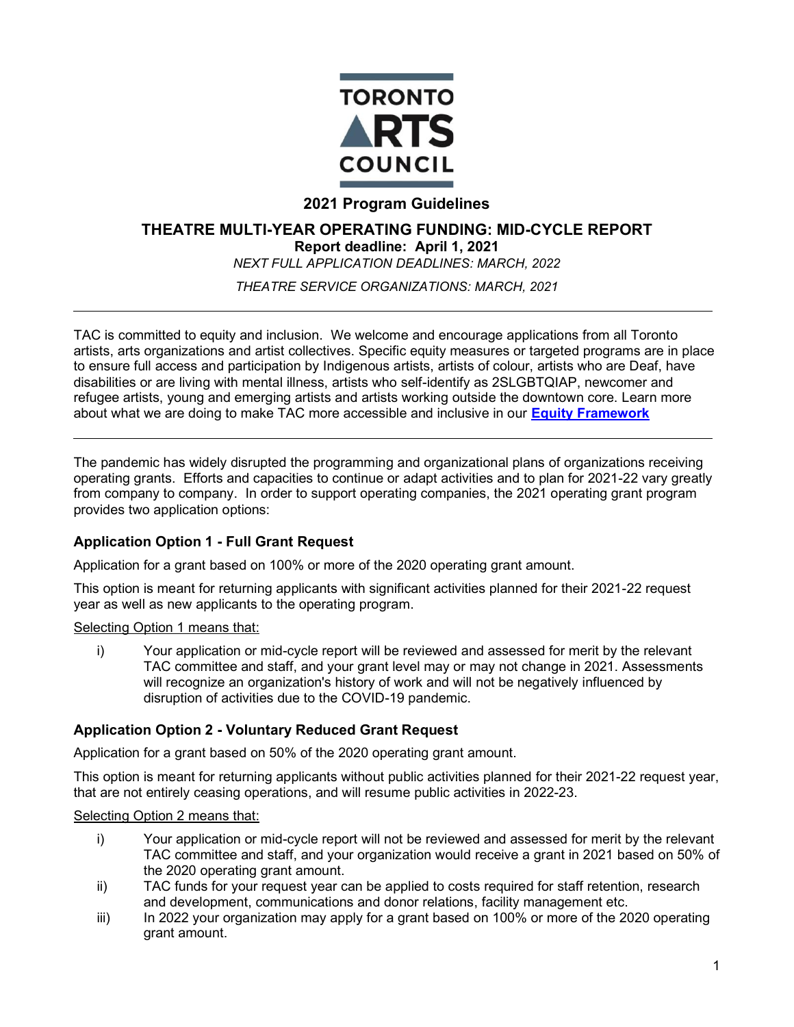

# **2021 Program Guidelines**

# **THEATRE MULTI-YEAR OPERATING FUNDING: MID-CYCLE REPORT**

**Report deadline: April 1, 2021**

*NEXT FULL APPLICATION DEADLINES: MARCH, 2022*

*THEATRE SERVICE ORGANIZATIONS: MARCH, 2021*

TAC is committed to equity and inclusion. We welcome and encourage applications from all Toronto artists, arts organizations and artist collectives. Specific equity measures or targeted programs are in place to ensure full access and participation by Indigenous artists, artists of colour, artists who are Deaf, have disabilities or are living with mental illness, artists who self-identify as 2SLGBTQIAP, newcomer and refugee artists, young and emerging artists and artists working outside the downtown core. Learn more about what we are doing to make TAC more accessible and inclusive in our **[Equity Framework](http://www.torontoartscouncil.org/reports-and-resources/toronto-arts-council-equity-framework/)**

[The pandemic h](http://www.torontoartscouncil.org/reports-and-resources/toronto-arts-council-equity-framework/)as widely disrupted the programming and organizational plans of organizations receiving operating grants. Efforts and capacities to continue or adapt activities and to plan for 2021-22 vary greatly from company to company. In order to support operating companies, the 2021 operating grant program provides two application options:

## **Application Option 1 - Full Grant Request**

Application for a grant based on 100% or more of the 2020 operating grant amount.

This option is meant for returning applicants with significant activities planned for their 2021-22 request year as well as new applicants to the operating program.

## Selecting Option 1 means that:

i) Your application or mid-cycle report will be reviewed and assessed for merit by the relevant TAC committee and staff, and your grant level may or may not change in 2021. Assessments will recognize an organization's history of work and will not be negatively influenced by disruption of activities due to the COVID-19 pandemic.

# **Application Option 2 - Voluntary Reduced Grant Request**

Application for a grant based on 50% of the 2020 operating grant amount.

This option is meant for returning applicants without public activities planned for their 2021-22 request year, that are not entirely ceasing operations, and will resume public activities in 2022-23.

#### Selecting Option 2 means that:

- i) Your application or mid-cycle report will not be reviewed and assessed for merit by the relevant TAC committee and staff, and your organization would receive a grant in 2021 based on 50% of the 2020 operating grant amount.
- ii) TAC funds for your request year can be applied to costs required for staff retention, research and development, communications and donor relations, facility management etc.
- iii) In 2022 your organization may apply for a grant based on 100% or more of the 2020 operating grant amount.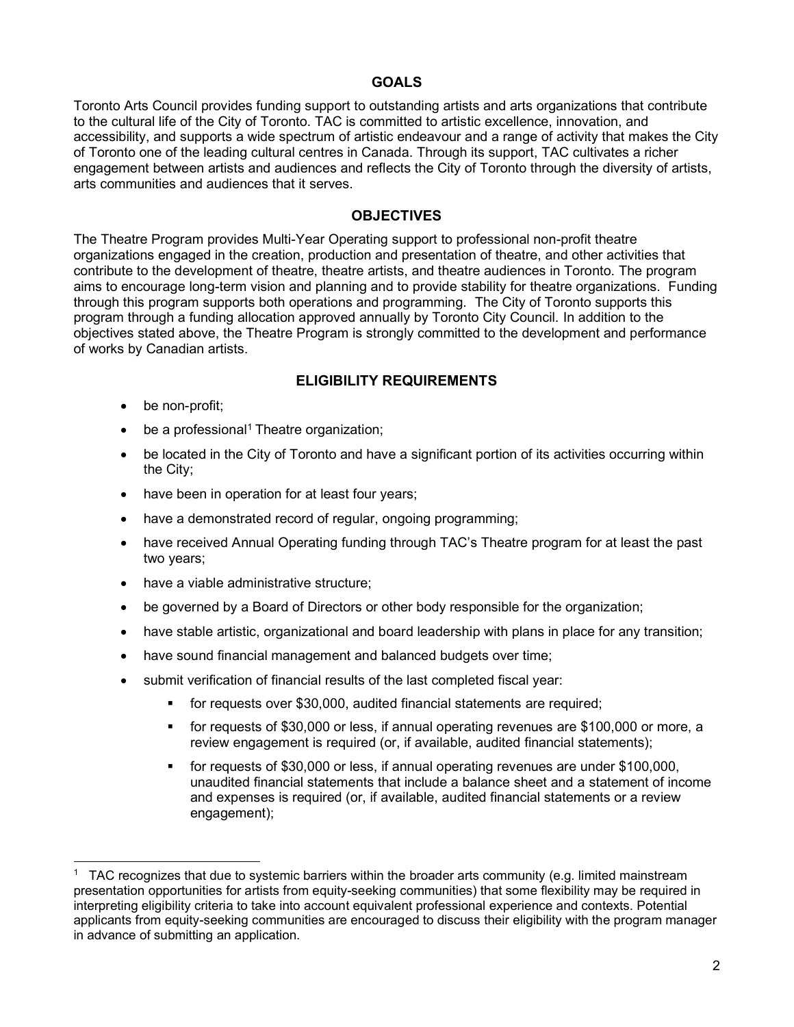### **GOALS**

Toronto Arts Council provides funding support to outstanding artists and arts organizations that contribute to the cultural life of the City of Toronto. TAC is committed to artistic excellence, innovation, and accessibility, and supports a wide spectrum of artistic endeavour and a range of activity that makes the City of Toronto one of the leading cultural centres in Canada. Through its support, TAC cultivates a richer engagement between artists and audiences and reflects the City of Toronto through the diversity of artists, arts communities and audiences that it serves.

#### **OBJECTIVES**

The Theatre Program provides Multi-Year Operating support to professional non-profit theatre organizations engaged in the creation, production and presentation of theatre, and other activities that contribute to the development of theatre, theatre artists, and theatre audiences in Toronto. The program aims to encourage long-term vision and planning and to provide stability for theatre organizations. Funding through this program supports both operations and programming. The City of Toronto supports this program through a funding allocation approved annually by Toronto City Council. In addition to the objectives stated above, the Theatre Program is strongly committed to the development and performance of works by Canadian artists.

#### **ELIGIBILITY REQUIREMENTS**

- be non-profit;
- $\bullet$  be a professional<sup>1</sup> Theatre organization;
- be located in the City of Toronto and have a significant portion of its activities occurring within the City;
- have been in operation for at least four years;
- have a demonstrated record of regular, ongoing programming;
- have received Annual Operating funding through TAC's Theatre program for at least the past two years;
- have a viable administrative structure;
- be governed by a Board of Directors or other body responsible for the organization;
- have stable artistic, organizational and board leadership with plans in place for any transition;
- have sound financial management and balanced budgets over time;
- submit verification of financial results of the last completed fiscal year:
	- for requests over \$30,000, audited financial statements are required;
	- for requests of \$30,000 or less, if annual operating revenues are \$100,000 or more, a review engagement is required (or, if available, audited financial statements);
	- for requests of \$30,000 or less, if annual operating revenues are under \$100,000, unaudited financial statements that include a balance sheet and a statement of income and expenses is required (or, if available, audited financial statements or a review engagement);

<sup>&</sup>lt;sup>1</sup> TAC recognizes that due to systemic barriers within the broader arts community (e.g. limited mainstream presentation opportunities for artists from equity-seeking communities) that some flexibility may be required in interpreting eligibility criteria to take into account equivalent professional experience and contexts. Potential applicants from equity-seeking communities are encouraged to discuss their eligibility with the program manager in advance of submitting an application.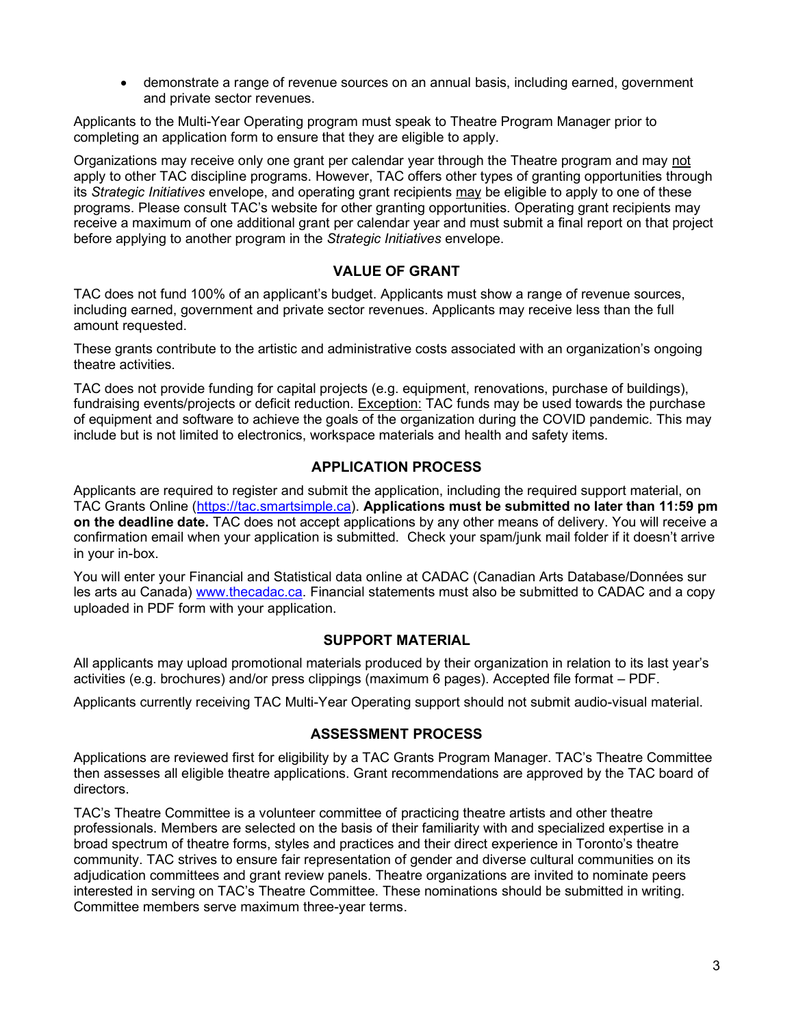• demonstrate a range of revenue sources on an annual basis, including earned, government and private sector revenues.

Applicants to the Multi-Year Operating program must speak to Theatre Program Manager prior to completing an application form to ensure that they are eligible to apply.

Organizations may receive only one grant per calendar year through the Theatre program and may not apply to other TAC discipline programs. However, TAC offers other types of granting opportunities through its *Strategic Initiatives* envelope, and operating grant recipients may be eligible to apply to one of these programs. Please consult TAC's website for other granting opportunities. Operating grant recipients may receive a maximum of one additional grant per calendar year and must submit a final report on that project before applying to another program in the *Strategic Initiatives* envelope.

# **VALUE OF GRANT**

TAC does not fund 100% of an applicant's budget. Applicants must show a range of revenue sources, including earned, government and private sector revenues. Applicants may receive less than the full amount requested.

These grants contribute to the artistic and administrative costs associated with an organization's ongoing theatre activities.

TAC does not provide funding for capital projects (e.g. equipment, renovations, purchase of buildings), fundraising events/projects or deficit reduction. Exception: TAC funds may be used towards the purchase of equipment and software to achieve the goals of the organization during the COVID pandemic. This may include but is not limited to electronics, workspace materials and health and safety items.

## **APPLICATION PROCESS**

Applicants are required to register and submit the application, including the required support material, on TAC Grants Online [\(https://tac.smartsimple.ca\)](https://tac.smartsimple.ca/). **[Applications must be su](https://tac.smartsimple.ca/)bmitted no later than 11:59 pm on the deadline date.** TAC does not accept applications by any other means of delivery. You will receive a confirmation email when your application is submitted. Check your spam/junk mail folder if it doesn't arrive in your in-box.

You will enter your Financial and Statistical data online at CADAC (Canadian Arts Database/Données sur les arts au Canada) [www.thecadac.ca. Financial sta](http://www.thecadac.ca/)tements must also be submitted to CADAC and a copy uploaded in PDF form with your application.

#### **SUPPORT MATERIAL**

All applicants may upload promotional materials produced by their organization in relation to its last year's activities (e.g. brochures) and/or press clippings (maximum 6 pages). Accepted file format – PDF.

Applicants currently receiving TAC Multi-Year Operating support should not submit audio-visual material.

## **ASSESSMENT PROCESS**

Applications are reviewed first for eligibility by a TAC Grants Program Manager. TAC's Theatre Committee then assesses all eligible theatre applications. Grant recommendations are approved by the TAC board of directors.

TAC's Theatre Committee is a volunteer committee of practicing theatre artists and other theatre professionals. Members are selected on the basis of their familiarity with and specialized expertise in a broad spectrum of theatre forms, styles and practices and their direct experience in Toronto's theatre community. TAC strives to ensure fair representation of gender and diverse cultural communities on its adjudication committees and grant review panels. Theatre organizations are invited to nominate peers interested in serving on TAC's Theatre Committee. These nominations should be submitted in writing. Committee members serve maximum three-year terms.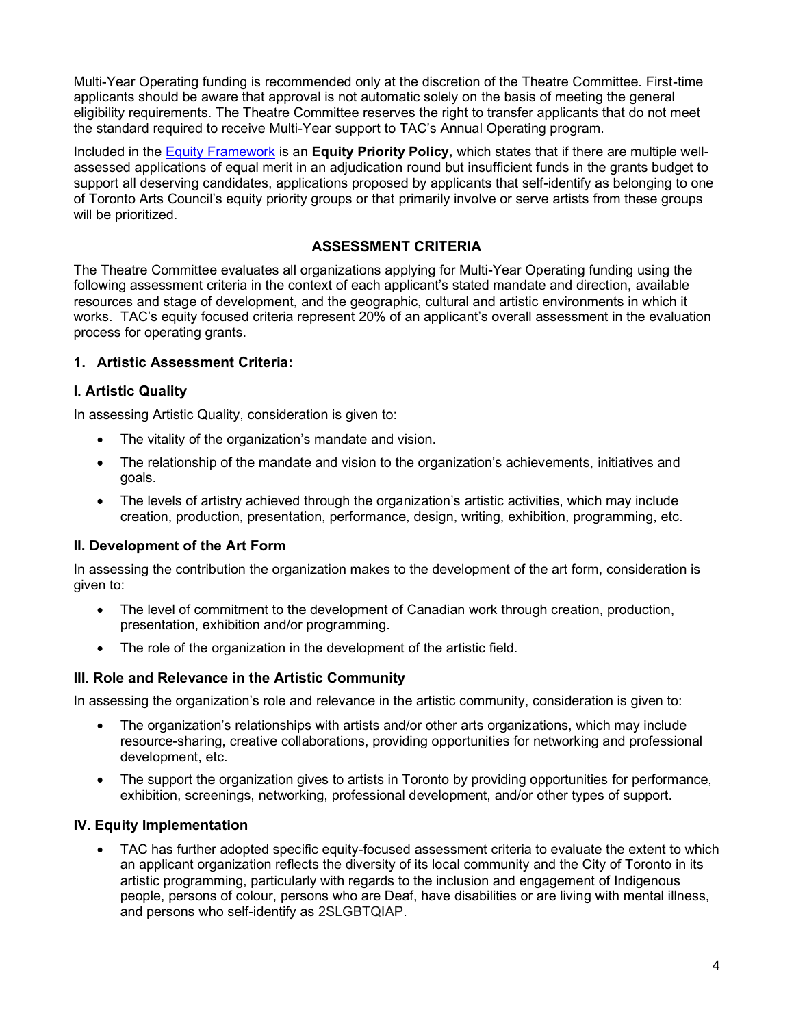Multi-Year Operating funding is recommended only at the discretion of the Theatre Committee. First-time applicants should be aware that approval is not automatic solely on the basis of meeting the general eligibility requirements. The Theatre Committee reserves the right to transfer applicants that do not meet the standard required to receive Multi-Year support to TAC's Annual Operating program.

Included in the [Equity Framework](http://www.torontoartscouncil.org/reports-and-resources/toronto-arts-council-equity-framework/) is an **[Equity Pr](http://www.torontoartscouncil.org/reports-and-resources/toronto-arts-council-equity-framework/)iority Policy,** which states that if there are multiple wellassessed applications of equal merit in an adjudication round but insufficient funds in the grants budget to support all deserving candidates, applications proposed by applicants that self-identify as belonging to one of Toronto Arts Council's equity priority groups or that primarily involve or serve artists from these groups will be prioritized.

## **ASSESSMENT CRITERIA**

The Theatre Committee evaluates all organizations applying for Multi-Year Operating funding using the following assessment criteria in the context of each applicant's stated mandate and direction, available resources and stage of development, and the geographic, cultural and artistic environments in which it works. TAC's equity focused criteria represent 20% of an applicant's overall assessment in the evaluation process for operating grants.

## **1. Artistic Assessment Criteria:**

# **I. Artistic Quality**

In assessing Artistic Quality, consideration is given to:

- The vitality of the organization's mandate and vision.
- The relationship of the mandate and vision to the organization's achievements, initiatives and goals.
- The levels of artistry achieved through the organization's artistic activities, which may include creation, production, presentation, performance, design, writing, exhibition, programming, etc.

## **II. Development of the Art Form**

In assessing the contribution the organization makes to the development of the art form, consideration is given to:

- The level of commitment to the development of Canadian work through creation, production, presentation, exhibition and/or programming.
- The role of the organization in the development of the artistic field.

## **III. Role and Relevance in the Artistic Community**

In assessing the organization's role and relevance in the artistic community, consideration is given to:

- The organization's relationships with artists and/or other arts organizations, which may include resource-sharing, creative collaborations, providing opportunities for networking and professional development, etc.
- The support the organization gives to artists in Toronto by providing opportunities for performance, exhibition, screenings, networking, professional development, and/or other types of support.

## **IV. Equity Implementation**

• TAC has further adopted specific equity-focused assessment criteria to evaluate the extent to which an applicant organization reflects the diversity of its local community and the City of Toronto in its artistic programming, particularly with regards to the inclusion and engagement of Indigenous people, persons of colour, persons who are Deaf, have disabilities or are living with mental illness, and persons who self-identify as 2SLGBTQIAP.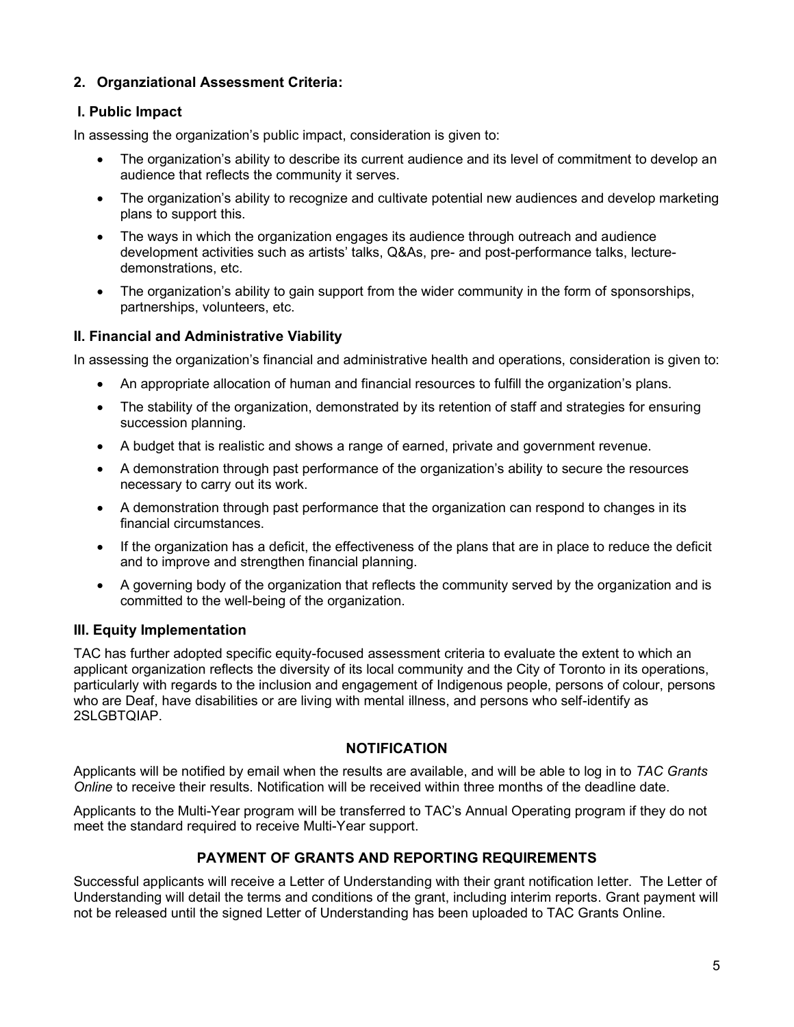# **2. Organziational Assessment Criteria:**

# **I. Public Impact**

In assessing the organization's public impact, consideration is given to:

- The organization's ability to describe its current audience and its level of commitment to develop an audience that reflects the community it serves.
- The organization's ability to recognize and cultivate potential new audiences and develop marketing plans to support this.
- The ways in which the organization engages its audience through outreach and audience development activities such as artists' talks, Q&As, pre- and post-performance talks, lecturedemonstrations, etc.
- The organization's ability to gain support from the wider community in the form of sponsorships, partnerships, volunteers, etc.

# **II. Financial and Administrative Viability**

In assessing the organization's financial and administrative health and operations, consideration is given to:

- An appropriate allocation of human and financial resources to fulfill the organization's plans.
- The stability of the organization, demonstrated by its retention of staff and strategies for ensuring succession planning.
- A budget that is realistic and shows a range of earned, private and government revenue.
- A demonstration through past performance of the organization's ability to secure the resources necessary to carry out its work.
- A demonstration through past performance that the organization can respond to changes in its financial circumstances.
- If the organization has a deficit, the effectiveness of the plans that are in place to reduce the deficit and to improve and strengthen financial planning.
- A governing body of the organization that reflects the community served by the organization and is committed to the well-being of the organization.

## **III. Equity Implementation**

TAC has further adopted specific equity-focused assessment criteria to evaluate the extent to which an applicant organization reflects the diversity of its local community and the City of Toronto in its operations, particularly with regards to the inclusion and engagement of Indigenous people, persons of colour, persons who are Deaf, have disabilities or are living with mental illness, and persons who self-identify as 2SLGBTQIAP.

# **NOTIFICATION**

Applicants will be notified by email when the results are available, and will be able to log in to *TAC Grants Online* to receive their results. Notification will be received within three months of the deadline date.

Applicants to the Multi-Year program will be transferred to TAC's Annual Operating program if they do not meet the standard required to receive Multi-Year support.

# **PAYMENT OF GRANTS AND REPORTING REQUIREMENTS**

Successful applicants will receive a Letter of Understanding with their grant notification letter. The Letter of Understanding will detail the terms and conditions of the grant, including interim reports. Grant payment will not be released until the signed Letter of Understanding has been uploaded to TAC Grants Online.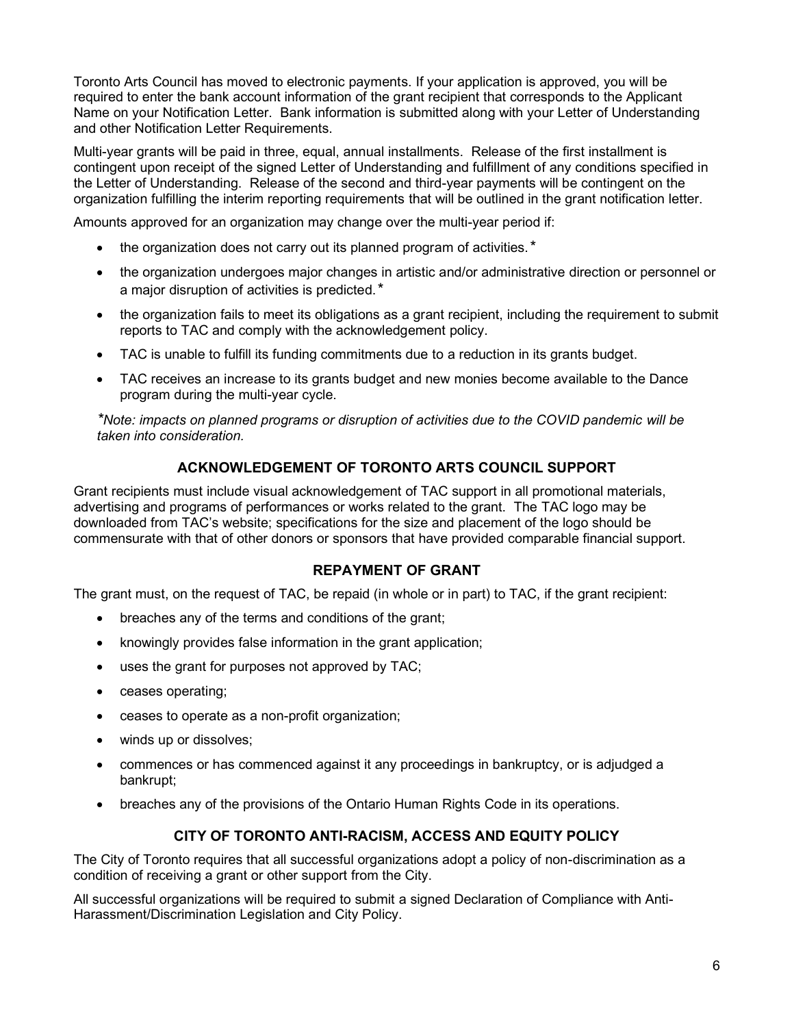Toronto Arts Council has moved to electronic payments. If your application is approved, you will be required to enter the bank account information of the grant recipient that corresponds to the Applicant Name on your Notification Letter. Bank information is submitted along with your Letter of Understanding and other Notification Letter Requirements.

Multi-year grants will be paid in three, equal, annual installments. Release of the first installment is contingent upon receipt of the signed Letter of Understanding and fulfillment of any conditions specified in the Letter of Understanding. Release of the second and third-year payments will be contingent on the organization fulfilling the interim reporting requirements that will be outlined in the grant notification letter.

Amounts approved for an organization may change over the multi-year period if:

- the organization does not carry out its planned program of activities.*\**
- the organization undergoes major changes in artistic and/or administrative direction or personnel or a major disruption of activities is predicted.*\**
- the organization fails to meet its obligations as a grant recipient, including the requirement to submit reports to TAC and comply with the acknowledgement policy.
- TAC is unable to fulfill its funding commitments due to a reduction in its grants budget.
- TAC receives an increase to its grants budget and new monies become available to the Dance program during the multi-year cycle.

*\*Note: impacts on planned programs or disruption of activities due to the COVID pandemic will be taken into consideration.*

# **ACKNOWLEDGEMENT OF TORONTO ARTS COUNCIL SUPPORT**

Grant recipients must include visual acknowledgement of TAC support in all promotional materials, advertising and programs of performances or works related to the grant. The TAC logo may be downloaded from TAC's website; specifications for the size and placement of the logo should be commensurate with that of other donors or sponsors that have provided comparable financial support.

# **REPAYMENT OF GRANT**

The grant must, on the request of TAC, be repaid (in whole or in part) to TAC, if the grant recipient:

- breaches any of the terms and conditions of the grant;
- knowingly provides false information in the grant application;
- uses the grant for purposes not approved by TAC;
- ceases operating;
- ceases to operate as a non-profit organization;
- winds up or dissolves;
- commences or has commenced against it any proceedings in bankruptcy, or is adjudged a bankrupt;
- breaches any of the provisions of the Ontario Human Rights Code in its operations.

## **CITY OF TORONTO ANTI-RACISM, ACCESS AND EQUITY POLICY**

The City of Toronto requires that all successful organizations adopt a policy of non-discrimination as a condition of receiving a grant or other support from the City.

All successful organizations will be required to submit a signed Declaration of Compliance with Anti-Harassment/Discrimination Legislation and City Policy.